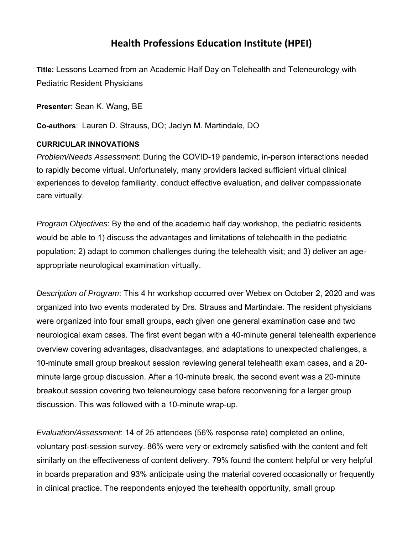## **Health Professions Education Institute (HPEI)**

**Title:** Lessons Learned from an Academic Half Day on Telehealth and Teleneurology with Pediatric Resident Physicians

**Presenter:** Sean K. Wang, BE

**Co-authors**: Lauren D. Strauss, DO; Jaclyn M. Martindale, DO

## **CURRICULAR INNOVATIONS**

*Problem/Needs Assessment*: During the COVID-19 pandemic, in-person interactions needed to rapidly become virtual. Unfortunately, many providers lacked sufficient virtual clinical experiences to develop familiarity, conduct effective evaluation, and deliver compassionate care virtually.

*Program Objectives*: By the end of the academic half day workshop, the pediatric residents would be able to 1) discuss the advantages and limitations of telehealth in the pediatric population; 2) adapt to common challenges during the telehealth visit; and 3) deliver an ageappropriate neurological examination virtually.

*Description of Program*: This 4 hr workshop occurred over Webex on October 2, 2020 and was organized into two events moderated by Drs. Strauss and Martindale. The resident physicians were organized into four small groups, each given one general examination case and two neurological exam cases. The first event began with a 40-minute general telehealth experience overview covering advantages, disadvantages, and adaptations to unexpected challenges, a 10-minute small group breakout session reviewing general telehealth exam cases, and a 20 minute large group discussion. After a 10-minute break, the second event was a 20-minute breakout session covering two teleneurology case before reconvening for a larger group discussion. This was followed with a 10-minute wrap-up.

*Evaluation/Assessment*: 14 of 25 attendees (56% response rate) completed an online, voluntary post-session survey. 86% were very or extremely satisfied with the content and felt similarly on the effectiveness of content delivery. 79% found the content helpful or very helpful in boards preparation and 93% anticipate using the material covered occasionally or frequently in clinical practice. The respondents enjoyed the telehealth opportunity, small group